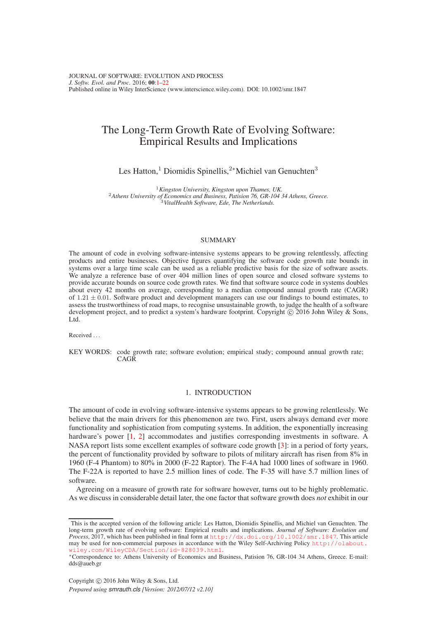# <span id="page-0-0"></span>The Long-Term Growth Rate of Evolving Software: Empirical Results and Implications

Les Hatton,<sup>1</sup> Diomidis Spinellis,<sup>2∗</sup>Michiel van Genuchten<sup>3</sup>

<sup>1</sup>*Kingston University, Kingston upon Thames, UK.* <sup>2</sup>*Athens University of Economics and Business, Patision 76, GR-104 34 Athens, Greece.* <sup>3</sup>*VitalHealth Software, Ede, The Netherlands.*

# **SUMMARY**

The amount of code in evolving software-intensive systems appears to be growing relentlessly, affecting products and entire businesses. Objective figures quantifying the software code growth rate bounds in systems over a large time scale can be used as a reliable predictive basis for the size of software assets. We analyze a reference base of over 404 million lines of open source and closed software systems to provide accurate bounds on source code growth rates. We find that software source code in systems doubles about every 42 months on average, corresponding to a median compound annual growth rate (CAGR) of  $1.21 \pm 0.01$ . Software product and development managers can use our findings to bound estimates, to assess the trustworthiness of road maps, to recognise unsustainable growth, to judge the health of a software development project, and to predict a system's hardware footprint. Copyright  $\odot$  2016 John Wiley & Sons, Ltd.

Received .

KEY WORDS: code growth rate; software evolution; empirical study; compound annual growth rate; **CAGR** 

# 1. INTRODUCTION

The amount of code in evolving software-intensive systems appears to be growing relentlessly. We believe that the main drivers for this phenomenon are two. First, users always demand ever more functionality and sophistication from computing systems. In addition, the exponentially increasing hardware's power [\[1,](#page-20-0) [2\]](#page-20-1) accommodates and justifies corresponding investments in software. A NASA report lists some excellent examples of software code growth [\[3\]](#page-20-2): in a period of forty years, the percent of functionality provided by software to pilots of military aircraft has risen from 8% in 1960 (F-4 Phantom) to 80% in 2000 (F-22 Raptor). The F-4A had 1000 lines of software in 1960. The F-22A is reported to have 2.5 million lines of code. The F-35 will have 5.7 million lines of software.

Agreeing on a measure of growth rate for software however, turns out to be highly problematic. As we discuss in considerable detail later, the one factor that software growth does *not* exhibit in our

This is the accepted version of the following article: Les Hatton, Diomidis Spinellis, and Michiel van Genuchten. The long-term growth rate of evolving software: Empirical results and implications. *Journal of Software: Evolution and* Process, 2017, which has been published in final form at http://dx.doi.org/10.1002/smr.1847. This article *Process*, 2017, which has been published in final form at http: may be used for non-commercial purposes in accordance with the Wiley Self-Archiving Policy [http://olabout.](http://olabout.wiley.com/WileyCDA/Section/id-828039.html) [wiley.com/WileyCDA/Section/id-828039.html](http://olabout.wiley.com/WileyCDA/Section/id-828039.html).

<sup>∗</sup>Correspondence to: Athens University of Economics and Business, Patision 76, GR-104 34 Athens, Greece. E-mail: dds@aueb.gr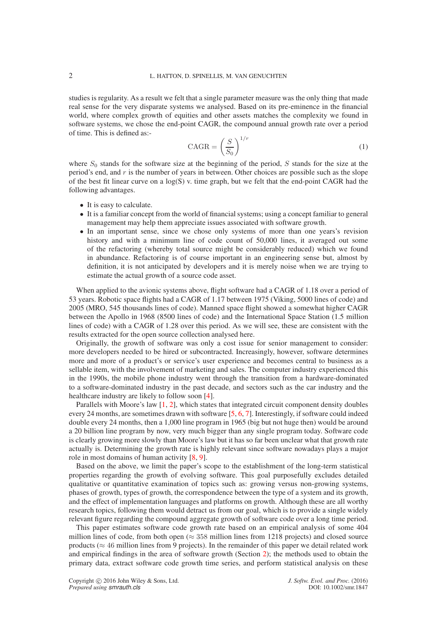studies is regularity. As a result we felt that a single parameter measure was the only thing that made real sense for the very disparate systems we analysed. Based on its pre-eminence in the financial world, where complex growth of equities and other assets matches the complexity we found in software systems, we chose the end-point CAGR, the compound annual growth rate over a period of time. This is defined as:-

$$
CAGR = \left(\frac{S}{S_0}\right)^{1/r} \tag{1}
$$

where  $S_0$  stands for the software size at the beginning of the period, S stands for the size at the period's end, and  $r$  is the number of years in between. Other choices are possible such as the slope of the best fit linear curve on a log(S) v. time graph, but we felt that the end-point CAGR had the following advantages.

- It is easy to calculate.
- It is a familiar concept from the world of financial systems; using a concept familiar to general management may help them appreciate issues associated with software growth.
- In an important sense, since we chose only systems of more than one years's revision history and with a minimum line of code count of 50,000 lines, it averaged out some of the refactoring (whereby total source might be considerably reduced) which we found in abundance. Refactoring is of course important in an engineering sense but, almost by definition, it is not anticipated by developers and it is merely noise when we are trying to estimate the actual growth of a source code asset.

When applied to the avionic systems above, flight software had a CAGR of 1.18 over a period of 53 years. Robotic space flights had a CAGR of 1.17 between 1975 (Viking, 5000 lines of code) and 2005 (MRO, 545 thousands lines of code). Manned space flight showed a somewhat higher CAGR between the Apollo in 1968 (8500 lines of code) and the International Space Station (1.5 million lines of code) with a CAGR of 1.28 over this period. As we will see, these are consistent with the results extracted for the open source collection analysed here.

Originally, the growth of software was only a cost issue for senior management to consider: more developers needed to be hired or subcontracted. Increasingly, however, software determines more and more of a product's or service's user experience and becomes central to business as a sellable item, with the involvement of marketing and sales. The computer industry experienced this in the 1990s, the mobile phone industry went through the transition from a hardware-dominated to a software-dominated industry in the past decade, and sectors such as the car industry and the healthcare industry are likely to follow soon [\[4\]](#page-20-3).

Parallels with Moore's law [\[1,](#page-20-0) [2\]](#page-20-1), which states that integrated circuit component density doubles every 24 months, are sometimes drawn with software [\[5,](#page-20-4) [6,](#page-20-5) [7\]](#page-20-6). Interestingly, if software could indeed double every 24 months, then a 1,000 line program in 1965 (big but not huge then) would be around a 20 billion line program by now, very much bigger than any single program today. Software code is clearly growing more slowly than Moore's law but it has so far been unclear what that growth rate actually is. Determining the growth rate is highly relevant since software nowadays plays a major role in most domains of human activity [\[8,](#page-20-7) [9\]](#page-20-8).

Based on the above, we limit the paper's scope to the establishment of the long-term statistical properties regarding the growth of evolving software. This goal purposefully excludes detailed qualitative or quantitative examination of topics such as: growing versus non-growing systems, phases of growth, types of growth, the correspondence between the type of a system and its growth, and the effect of implementation languages and platforms on growth. Although these are all worthy research topics, following them would detract us from our goal, which is to provide a single widely relevant figure regarding the compound aggregate growth of software code over a long time period.

This paper estimates software code growth rate based on an empirical analysis of some 404 million lines of code, from both open ( $\approx$  358 million lines from 1218 projects) and closed source products ( $\approx$  46 million lines from 9 projects). In the remainder of this paper we detail related work and empirical findings in the area of software growth (Section [2\)](#page-2-0); the methods used to obtain the primary data, extract software code growth time series, and perform statistical analysis on these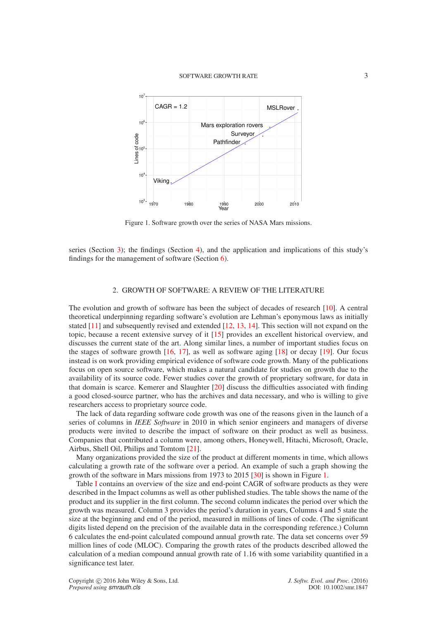<span id="page-2-1"></span>

Figure 1. Software growth over the series of NASA Mars missions.

series (Section [3\)](#page-4-0); the findings (Section [4\)](#page-14-0), and the application and implications of this study's findings for the management of software (Section [6\)](#page-17-0).

# 2. GROWTH OF SOFTWARE: A REVIEW OF THE LITERATURE

<span id="page-2-0"></span>The evolution and growth of software has been the subject of decades of research [\[10\]](#page-20-9). A central theoretical underpinning regarding software's evolution are Lehman's eponymous laws as initially stated [\[11\]](#page-20-10) and subsequently revised and extended [\[12,](#page-20-11) [13,](#page-20-12) [14\]](#page-20-13). This section will not expand on the topic, because a recent extensive survey of it [\[15\]](#page-20-14) provides an excellent historical overview, and discusses the current state of the art. Along similar lines, a number of important studies focus on the stages of software growth [\[16,](#page-20-15) [17\]](#page-20-16), as well as software aging [\[18\]](#page-20-17) or decay [\[19\]](#page-20-18). Our focus instead is on work providing empirical evidence of software code growth. Many of the publications focus on open source software, which makes a natural candidate for studies on growth due to the availability of its source code. Fewer studies cover the growth of proprietary software, for data in that domain is scarce. Kemerer and Slaughter [\[20\]](#page-20-19) discuss the difficulties associated with finding a good closed-source partner, who has the archives and data necessary, and who is willing to give researchers access to proprietary source code.

The lack of data regarding software code growth was one of the reasons given in the launch of a series of columns in *IEEE Software* in 2010 in which senior engineers and managers of diverse products were invited to describe the impact of software on their product as well as business. Companies that contributed a column were, among others, Honeywell, Hitachi, Microsoft, Oracle, Airbus, Shell Oil, Philips and Tomtom [\[21\]](#page-20-20).

Many organizations provided the size of the product at different moments in time, which allows calculating a growth rate of the software over a period. An example of such a graph showing the growth of the software in Mars missions from 1973 to 2015 [\[30\]](#page-20-21) is shown in Figure [1.](#page-2-1)

Table [I](#page-3-0) contains an overview of the size and end-point CAGR of software products as they were described in the Impact columns as well as other published studies. The table shows the name of the product and its supplier in the first column. The second column indicates the period over which the growth was measured. Column 3 provides the period's duration in years, Columns 4 and 5 state the size at the beginning and end of the period, measured in millions of lines of code. (The significant digits listed depend on the precision of the available data in the corresponding reference.) Column 6 calculates the end-point calculated compound annual growth rate. The data set concerns over 59 million lines of code (MLOC). Comparing the growth rates of the products described allowed the calculation of a median compound annual growth rate of 1.16 with some variability quantified in a significance test later.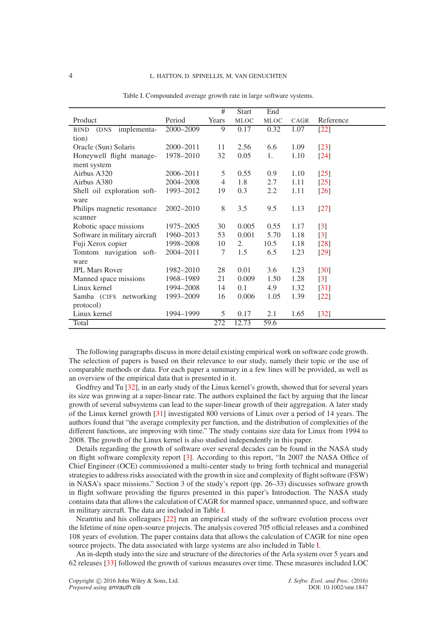<span id="page-3-0"></span>

|                                    |               | #              | <b>Start</b> | End         |      |                    |
|------------------------------------|---------------|----------------|--------------|-------------|------|--------------------|
| Product                            | Period        | Years          | <b>MLOC</b>  | <b>MLOC</b> | CAGR | Reference          |
| implementa-<br><b>BIND</b><br>(DNS | 2000-2009     | 9              | 0.17         | 0.32        | 1.07 | $[22]$             |
| tion)                              |               |                |              |             |      |                    |
| Oracle (Sun) Solaris               | 2000-2011     | 11             | 2.56         | 6.6         | 1.09 | $[23]$             |
| Honeywell flight manage-           | 1978-2010     | 32             | 0.05         | 1.          | 1.10 | $[24]$             |
| ment system                        |               |                |              |             |      |                    |
| Airbus A320                        | $2006 - 2011$ | 5              | 0.55         | 0.9         | 1.10 | $[25]$             |
| Airbus A380                        | 2004-2008     | $\overline{4}$ | 1.8          | 2.7         | 1.11 | $[25]$             |
| Shell oil exploration soft-        | 1993-2012     | 19             | 0.3          | 2.2         | 1.11 | $\lceil 26 \rceil$ |
| ware                               |               |                |              |             |      |                    |
| Philips magnetic resonance         | 2002-2010     | 8              | 3.5          | 9.5         | 1.13 | $\lceil 27 \rceil$ |
| scanner                            |               |                |              |             |      |                    |
| Robotic space missions             | 1975–2005     | 30             | 0.005        | 0.55        | 1.17 | $[3]$              |
| Software in military aircraft      | 1960-2013     | 53             | 0.001        | 5.70        | 1.18 | $[3]$              |
| Fuji Xerox copier                  | 1998-2008     | 10             | 2.           | 10.5        | 1.18 | $[28]$             |
| Tomtom navigation soft-            | 2004-2011     | 7              | 1.5          | 6.5         | 1.23 | $[29]$             |
| ware                               |               |                |              |             |      |                    |
| <b>JPL Mars Rover</b>              | 1982-2010     | 28             | 0.01         | 3.6         | 1.23 | $\lceil 30 \rceil$ |
| Manned space missions              | 1968-1989     | 21             | 0.009        | 1.50        | 1.28 | $[3]$              |
| Linux kernel                       | 1994-2008     | 14             | 0.1          | 4.9         | 1.32 | $\lceil 31 \rceil$ |
| Samba (CIFS networking             | 1993-2009     | 16             | 0.006        | 1.05        | 1.39 | $[22]$             |
| protocol)                          |               |                |              |             |      |                    |
| Linux kernel                       | 1994-1999     | 5              | 0.17         | 2.1         | 1.65 | $[32]$             |
| Total                              |               | 272            | 12.73        | 59.6        |      |                    |

Table I. Compounded average growth rate in large software systems.

The following paragraphs discuss in more detail existing empirical work on software code growth. The selection of papers is based on their relevance to our study, namely their topic or the use of comparable methods or data. For each paper a summary in a few lines will be provided, as well as an overview of the empirical data that is presented in it.

Godfrey and Tu [\[32\]](#page-21-1), in an early study of the Linux kernel's growth, showed that for several years its size was growing at a super-linear rate. The authors explained the fact by arguing that the linear growth of several subsystems can lead to the super-linear growth of their aggregation. A later study of the Linux kernel growth [\[31\]](#page-21-0) investigated 800 versions of Linux over a period of 14 years. The authors found that "the average complexity per function, and the distribution of complexities of the different functions, are improving with time." The study contains size data for Linux from 1994 to 2008. The growth of the Linux kernel is also studied independently in this paper.

Details regarding the growth of software over several decades can be found in the NASA study on flight software complexity report [\[3\]](#page-20-2). According to this report, "In 2007 the NASA Office of Chief Engineer (OCE) commissioned a multi-center study to bring forth technical and managerial strategies to address risks associated with the growth in size and complexity of flight software (FSW) in NASA's space missions." Section 3 of the study's report (pp. 26–33) discusses software growth in flight software providing the figures presented in this paper's Introduction. The NASA study contains data that allows the calculation of CAGR for manned space, unmanned space, and software in military aircraft. The data are included in Table [I.](#page-3-0)

Neamtiu and his colleagues [\[22\]](#page-20-22) run an empirical study of the software evolution process over the lifetime of nine open-source projects. The analysis covered 705 official releases and a combined 108 years of evolution. The paper contains data that allows the calculation of CAGR for nine open source projects. The data associated with large systems are also included in Table [I.](#page-3-0)

An in-depth study into the size and structure of the directories of the Arla system over 5 years and 62 releases [\[33\]](#page-21-2) followed the growth of various measures over time. These measures included LOC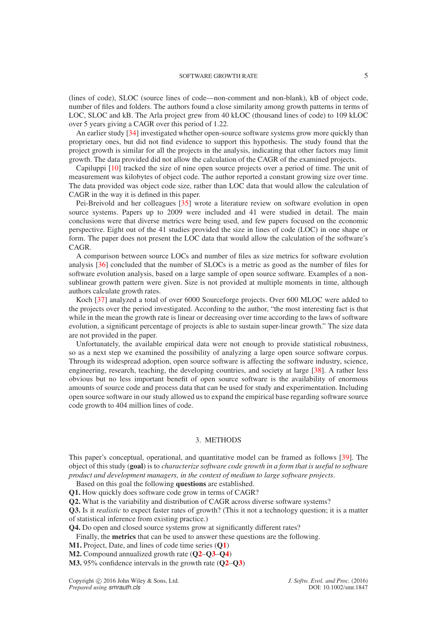(lines of code), SLOC (source lines of code—non-comment and non-blank), kB of object code, number of files and folders. The authors found a close similarity among growth patterns in terms of LOC, SLOC and kB. The Arla project grew from 40 kLOC (thousand lines of code) to 109 kLOC over 5 years giving a CAGR over this period of 1.22.

An earlier study [\[34\]](#page-21-3) investigated whether open-source software systems grow more quickly than proprietary ones, but did not find evidence to support this hypothesis. The study found that the project growth is similar for all the projects in the analysis, indicating that other factors may limit growth. The data provided did not allow the calculation of the CAGR of the examined projects.

Capiluppi [\[10\]](#page-20-9) tracked the size of nine open source projects over a period of time. The unit of measurement was kilobytes of object code. The author reported a constant growing size over time. The data provided was object code size, rather than LOC data that would allow the calculation of CAGR in the way it is defined in this paper.

Pei-Breivold and her colleagues [\[35\]](#page-21-4) wrote a literature review on software evolution in open source systems. Papers up to 2009 were included and 41 were studied in detail. The main conclusions were that diverse metrics were being used, and few papers focused on the economic perspective. Eight out of the 41 studies provided the size in lines of code (LOC) in one shape or form. The paper does not present the LOC data that would allow the calculation of the software's CAGR.

A comparison between source LOCs and number of files as size metrics for software evolution analysis [\[36\]](#page-21-5) concluded that the number of SLOCs is a metric as good as the number of files for software evolution analysis, based on a large sample of open source software. Examples of a nonsublinear growth pattern were given. Size is not provided at multiple moments in time, although authors calculate growth rates.

Koch [\[37\]](#page-21-6) analyzed a total of over 6000 Sourceforge projects. Over 600 MLOC were added to the projects over the period investigated. According to the author, "the most interesting fact is that while in the mean the growth rate is linear or decreasing over time according to the laws of software evolution, a significant percentage of projects is able to sustain super-linear growth." The size data are not provided in the paper.

Unfortunately, the available empirical data were not enough to provide statistical robustness, so as a next step we examined the possibility of analyzing a large open source software corpus. Through its widespread adoption, open source software is affecting the software industry, science, engineering, research, teaching, the developing countries, and society at large [\[38\]](#page-21-7). A rather less obvious but no less important benefit of open source software is the availability of enormous amounts of source code and process data that can be used for study and experimentation. Including open source software in our study allowed us to expand the empirical base regarding software source code growth to 404 million lines of code.

# 3. METHODS

<span id="page-4-0"></span>This paper's conceptual, operational, and quantitative model can be framed as follows [\[39\]](#page-21-8). The object of this study (**goal**) is to *characterize software code growth in a form that is useful to software product and development managers, in the context of medium to large software projects*.

<span id="page-4-1"></span>Based on this goal the following **questions** are established.

<span id="page-4-2"></span>**Q1.** How quickly does software code grow in terms of CAGR?

<span id="page-4-3"></span>**Q2.** What is the variability and distribution of CAGR across diverse software systems?

**Q3.** Is it *realistic* to expect faster rates of growth? (This it not a technology question; it is a matter of statistical inference from existing practice.)

<span id="page-4-4"></span>**Q4.** Do open and closed source systems grow at significantly different rates?

Finally, the **metrics** that can be used to answer these questions are the following.

**M1.** Project, Date, and lines of code time series (**[Q1](#page-4-1)**)

**M2.** Compound annualized growth rate (**[Q2](#page-4-2)**–**[Q3](#page-4-3)**–**[Q4](#page-4-4)**)

**M3.** 95% confidence intervals in the growth rate (**[Q2](#page-4-2)**–**[Q3](#page-4-3)**)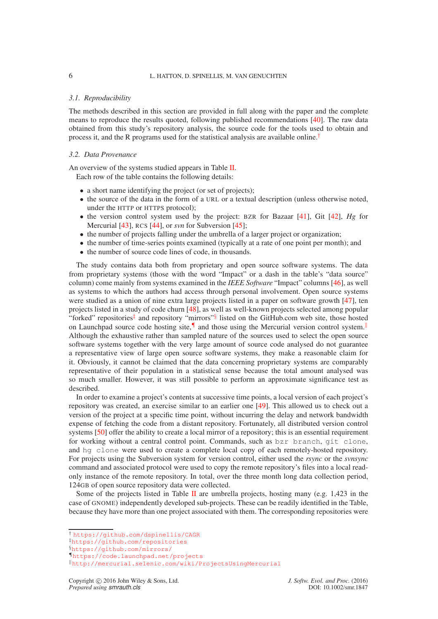# 6 L. HATTON, D. SPINELLIS, M. VAN GENUCHTEN

### *3.1. Reproducibility*

The methods described in this section are provided in full along with the paper and the complete means to reproduce the results quoted, following published recommendations [\[40\]](#page-21-9). The raw data obtained from this study's repository analysis, the source code for the tools used to obtain and process it, and the R programs used for the statistical analysis are available online.<sup>[†](#page-5-0)</sup>

### *3.2. Data Provenance*

An overview of the systems studied appears in Table [II.](#page-6-0)

Each row of the table contains the following details:

- a short name identifying the project (or set of projects);
- the source of the data in the form of a URL or a textual description (unless otherwise noted, under the HTTP or HTTPS protocol);
- the version control system used by the project: BZR for Bazaar [\[41\]](#page-21-10), Git [\[42\]](#page-21-11), *Hg* for Mercurial [\[43\]](#page-21-12), RCS [\[44\]](#page-21-13), or *svn* for Subversion [\[45\]](#page-21-14);
- the number of projects falling under the umbrella of a larger project or organization;
- the number of time-series points examined (typically at a rate of one point per month); and
- the number of source code lines of code, in thousands.

The study contains data both from proprietary and open source software systems. The data from proprietary systems (those with the word "Impact" or a dash in the table's "data source" column) come mainly from systems examined in the *IEEE Software* "Impact" columns [\[46\]](#page-21-15), as well as systems to which the authors had access through personal involvement. Open source systems were studied as a union of nine extra large projects listed in a paper on software growth [\[47\]](#page-21-16), ten projects listed in a study of code churn [\[48\]](#page-21-17), as well as well-known projects selected among popular "forked" repositories<sup>[‡](#page-5-1)</sup> and repository "mirrors"<sup>[§](#page-5-2)</sup> listed on the GitHub.com web site, those hosted on Launchpad source code hosting site,<sup>1</sup> and those using the Mercurial version control system.<sup>||</sup> Although the exhaustive rather than sampled nature of the sources used to select the open source software systems together with the very large amount of source code analysed do not guarantee a representative view of large open source software systems, they make a reasonable claim for it. Obviously, it cannot be claimed that the data concerning proprietary systems are comparably representative of their population in a statistical sense because the total amount analysed was so much smaller. However, it was still possible to perform an approximate significance test as described.

In order to examine a project's contents at successive time points, a local version of each project's repository was created, an exercise similar to an earlier one [\[49\]](#page-21-18). This allowed us to check out a version of the project at a specific time point, without incurring the delay and network bandwidth expense of fetching the code from a distant repository. Fortunately, all distributed version control systems [\[50\]](#page-21-19) offer the ability to create a local mirror of a repository; this is an essential requirement for working without a central control point. Commands, such as bzr branch, git clone, and hg clone were used to create a complete local copy of each remotely-hosted repository. For projects using the Subversion system for version control, either used the *rsync* or the *svnsync* command and associated protocol were used to copy the remote repository's files into a local readonly instance of the remote repository. In total, over the three month long data collection period, 124GB of open source repository data were collected.

Some of the projects listed in Table [II](#page-6-0) are umbrella projects, hosting many (e.g. 1,423 in the case of GNOME) independently developed sub-projects. These can be readily identified in the Table, because they have more than one project associated with them. The corresponding repositories were

<sup>†</sup> <https://github.com/dspinellis/CAGR>

<span id="page-5-0"></span><sup>‡</sup><https://github.com/repositories>

<span id="page-5-1"></span><sup>§</sup><https://github.com/mirrors/>

<span id="page-5-2"></span><sup>¶</sup><https://code.launchpad.net/projects>

<span id="page-5-4"></span><span id="page-5-3"></span><sup>k</sup><http://mercurial.selenic.com/wiki/ProjectsUsingMercurial>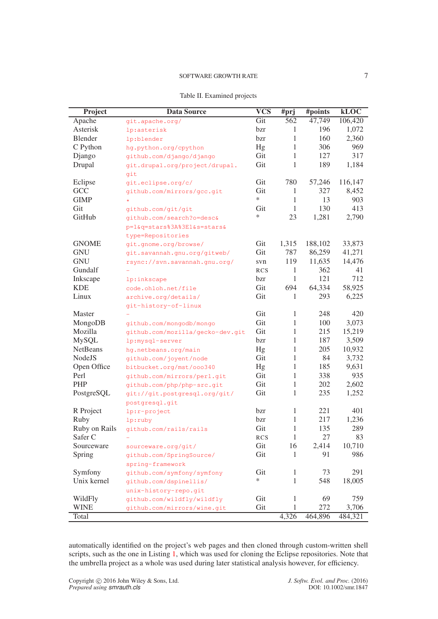<span id="page-6-0"></span>

| Project         | <b>Data Source</b>               | $\overline{\text{VCS}}$ | #prj         | #points | kLOC    |
|-----------------|----------------------------------|-------------------------|--------------|---------|---------|
| Apache          | git.apache.org/                  | Git                     | 562          | 47,749  | 106,420 |
| Asterisk        | lp:asterisk                      | bzr                     | 1            | 196     | 1,072   |
| <b>Blender</b>  | lp:blender                       | bzr                     | 1            | 160     | 2,360   |
| C Python        | hg.python.org/cpython            | Hg                      | 1            | 306     | 969     |
| Django          | github.com/django/django         | Git                     | 1            | 127     | 317     |
| Drupal          | git.drupal.org/project/drupal.   | Git                     | 1            | 189     | 1,184   |
|                 | git                              |                         |              |         |         |
| Eclipse         | qit.eclipse.org/c/               | Git                     | 780          | 57,246  | 116,147 |
| GCC             | github.com/mirrors/gcc.git       | Git                     | 1            | 327     | 8,452   |
| <b>GIMP</b>     |                                  | $\ast$                  | 1            | 13      | 903     |
| Git             | github.com/git/git               | Git                     | 1            | 130     | 413     |
| GitHub          | github.com/search?o=desc&        | $\ast$                  | 23           | 1,281   | 2,790   |
|                 | p=1&q=stars%3A%3E1&s=stars&      |                         |              |         |         |
|                 | type=Repositories                |                         |              |         |         |
| <b>GNOME</b>    | git.gnome.org/browse/            | Git                     | 1,315        | 188,102 | 33,873  |
| <b>GNU</b>      | git.savannah.gnu.org/gitweb/     | Git                     | 787          | 86,259  | 41,271  |
| <b>GNU</b>      | rsync://svn.savannah.gnu.org/    | svn                     | 119          | 11,635  | 14,476  |
| Gundalf         |                                  | <b>RCS</b>              | 1            | 362     | 41      |
| Inkscape        | lp:inkscape                      | bzr                     | 1            | 121     | 712     |
| <b>KDE</b>      | code.ohloh.net/file              | Git                     | 694          | 64,334  | 58,925  |
| Linux           | archive.org/details/             | Git                     | 1            | 293     | 6,225   |
|                 | git-history-of-linux             |                         |              |         |         |
| Master          |                                  | Git                     | 1            | 248     | 420     |
| MongoDB         | github.com/mongodb/mongo         | Git                     | $\mathbf{1}$ | 100     | 3,073   |
| Mozilla         | github.com/mozilla/gecko-dev.git | Git                     | 1            | 215     | 15,219  |
| <b>MySQL</b>    | lp:mysql-server                  | bzr                     | 1            | 187     | 3,509   |
| <b>NetBeans</b> | hg.netbeans.org/main             | Hg                      | 1            | 205     | 10,932  |
| NodeJS          | github.com/joyent/node           | Git                     | 1            | 84      | 3,732   |
| Open Office     | bitbucket.org/mst/ooo340         | Hg                      | 1            | 185     | 9,631   |
| Perl            | github.com/mirrors/perl.git      | Git                     | 1            | 338     | 935     |
| PHP             | github.com/php/php-src.git       | Git                     | 1            | 202     | 2,602   |
| PostgreSQL      | git://git.postgresql.org/git/    | Git                     | 1            | 235     | 1,252   |
|                 | postgresql.git                   |                         |              |         |         |
| R Project       | lp:r-project                     | bzr                     | 1            | 221     | 401     |
| Ruby            | lp:ruby                          | bzr                     | 1            | 217     | 1,236   |
| Ruby on Rails   | github.com/rails/rails           | Git                     | $\mathbf{1}$ | 135     | 289     |
| Safer C         |                                  | RCS                     | 1            | 27      | 83      |
| Sourceware      | sourceware.org/git/              | Git                     | 16           | 2,414   | 10,710  |
| Spring          | github.com/SpringSource/         | Git                     | 1            | 91      | 986     |
|                 | spring-framework                 |                         |              |         |         |
| Symfony         | github.com/symfony/symfony       | Git                     | 1            | 73      | 291     |
| Unix kernel     | github.com/dspinellis/           | *                       | 1            | 548     | 18,005  |
|                 | unix-history-repo.git            |                         |              |         |         |
| WildFly         | github.com/wildfly/wildfly       | Git                     | 1            | 69      | 759     |
| <b>WINE</b>     | github.com/mirrors/wine.git      | Git                     | 1            | 272     | 3,706   |
| Total           |                                  |                         | 4,326        | 464,896 | 484,321 |

automatically identified on the project's web pages and then cloned through custom-written shell scripts, such as the one in Listing [1,](#page-7-0) which was used for cloning the Eclipse repositories. Note that the umbrella project as a whole was used during later statistical analysis however, for efficiency.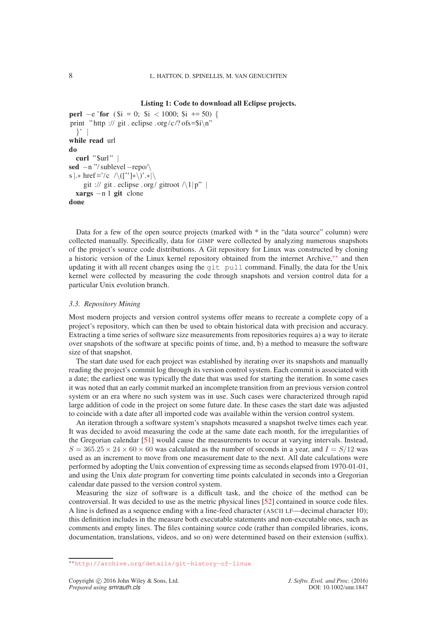# **Listing 1: Code to download all Eclipse projects.**

```
perl -e 'for ($i = 0; $i < 1000; $i +50) {
print " http :// git . eclipse . org/c/? of s = \frac{1}{n}"
  }' |
while read url
do
  curl "$url" |
sed −n "/ sublevel−repo/\
s \vert \cdot \rangle href ='/c /\([^']*\)'.*|\
     git :// git . eclipse . org/ gitroot \wedge1|p" |
  xargs −n 1 git clone
done
```
Data for a few of the open source projects (marked with \* in the "data source" column) were collected manually. Specifically, data for GIMP were collected by analyzing numerous snapshots of the project's source code distributions. A Git repository for Linux was constructed by cloning a historic version of the Linux kernel repository obtained from the internet Archive,[∗∗](#page-7-1) and then updating it with all recent changes using the git pull command. Finally, the data for the Unix kernel were collected by measuring the code through snapshots and version control data for a particular Unix evolution branch.

### *3.3. Repository Mining*

Most modern projects and version control systems offer means to recreate a complete copy of a project's repository, which can then be used to obtain historical data with precision and accuracy. Extracting a time series of software size measurements from repositories requires a) a way to iterate over snapshots of the software at specific points of time, and, b) a method to measure the software size of that snapshot.

The start date used for each project was established by iterating over its snapshots and manually reading the project's commit log through its version control system. Each commit is associated with a date; the earliest one was typically the date that was used for starting the iteration. In some cases it was noted that an early commit marked an incomplete transition from an previous version control system or an era where no such system was in use. Such cases were characterized through rapid large addition of code in the project on some future date. In these cases the start date was adjusted to coincide with a date after all imported code was available within the version control system.

An iteration through a software system's snapshots measured a snapshot twelve times each year. It was decided to avoid measuring the code at the same date each month, for the irregularities of the Gregorian calendar [\[51\]](#page-21-20) would cause the measurements to occur at varying intervals. Instead,  $S = 365.25 \times 24 \times 60 \times 60$  was calculated as the number of seconds in a year, and  $I = S/12$  was used as an increment to move from one measurement date to the next. All date calculations were performed by adopting the Unix convention of expressing time as seconds elapsed from 1970-01-01, and using the Unix *date* program for converting time points calculated in seconds into a Gregorian calendar date passed to the version control system.

Measuring the size of software is a difficult task, and the choice of the method can be controversial. It was decided to use as the metric physical lines [\[52\]](#page-21-21) contained in source code files. A line is defined as a sequence ending with a line-feed character (ASCII LF—decimal character 10); this definition includes in the measure both executable statements and non-executable ones, such as comments and empty lines. The files containing source code (rather than compiled libraries, icons, documentation, translations, videos, and so on) were determined based on their extension (suffix).

<span id="page-7-1"></span><sup>∗∗</sup><http://archive.org/details/git-history-of-linux>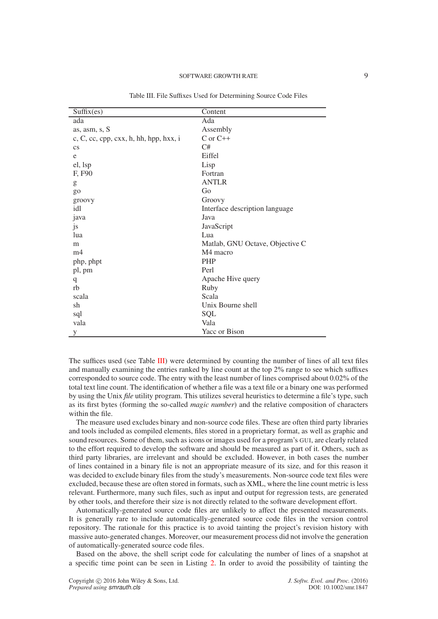<span id="page-8-0"></span>

| Suffix(es)                               | Content                         |
|------------------------------------------|---------------------------------|
| ada                                      | Ada                             |
| as, asm, s, S                            | Assembly                        |
| $c, C, cc, cpp, cxx, h, hh, hpp, hxx, i$ | $C$ or $C++$                    |
| $\mathbf{c}\mathbf{s}$                   | C#                              |
| e                                        | Eiffel                          |
| el, lsp                                  | Lisp                            |
| F, F90                                   | Fortran                         |
| g                                        | <b>ANTLR</b>                    |
| go                                       | Go                              |
| groovy                                   | Groovy                          |
| idl                                      | Interface description language  |
| java                                     | Java                            |
| js                                       | JavaScript                      |
| lua                                      | Lua                             |
| m                                        | Matlab, GNU Octave, Objective C |
| m <sub>4</sub>                           | M4 macro                        |
| php, phpt                                | <b>PHP</b>                      |
| pl, pm                                   | Perl                            |
| q                                        | Apache Hive query               |
| rb                                       | Ruby                            |
| scala                                    | Scala                           |
| sh                                       | Unix Bourne shell               |
| sql                                      | SQL                             |
| vala                                     | Vala                            |
| у                                        | Yacc or Bison                   |

Table III. File Suffixes Used for Determining Source Code Files

The suffices used (see Table [III\)](#page-8-0) were determined by counting the number of lines of all text files and manually examining the entries ranked by line count at the top 2% range to see which suffixes corresponded to source code. The entry with the least number of lines comprised about 0.02% of the total text line count. The identification of whether a file was a text file or a binary one was performed by using the Unix *file* utility program. This utilizes several heuristics to determine a file's type, such as its first bytes (forming the so-called *magic number*) and the relative composition of characters within the file.

The measure used excludes binary and non-source code files. These are often third party libraries and tools included as compiled elements, files stored in a proprietary format, as well as graphic and sound resources. Some of them, such as icons or images used for a program's GUI, are clearly related to the effort required to develop the software and should be measured as part of it. Others, such as third party libraries, are irrelevant and should be excluded. However, in both cases the number of lines contained in a binary file is not an appropriate measure of its size, and for this reason it was decided to exclude binary files from the study's measurements. Non-source code text files were excluded, because these are often stored in formats, such as XML, where the line count metric is less relevant. Furthermore, many such files, such as input and output for regression tests, are generated by other tools, and therefore their size is not directly related to the software development effort.

Automatically-generated source code files are unlikely to affect the presented measurements. It is generally rare to include automatically-generated source code files in the version control repository. The rationale for this practice is to avoid tainting the project's revision history with massive auto-generated changes. Moreover, our measurement process did not involve the generation of automatically-generated source code files.

Based on the above, the shell script code for calculating the number of lines of a snapshot at a specific time point can be seen in Listing [2.](#page-9-0) In order to avoid the possibility of tainting the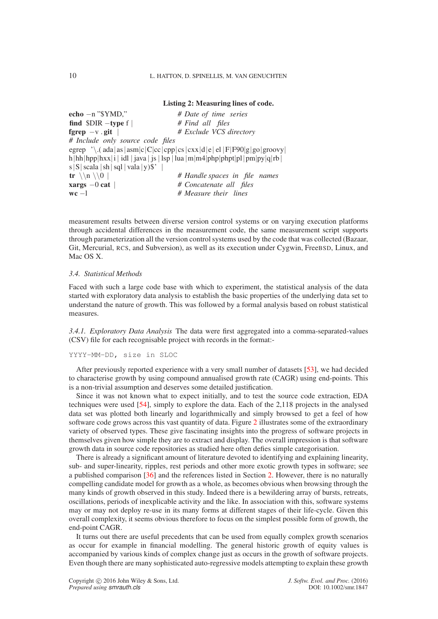<span id="page-9-0"></span>**Listing 2: Measuring lines of code. echo** −n "\$YMD," *# Date of time series* **find** \$DIR −**type** f | *# Find all files* **fgrep** −v . **git** | *# Exclude VCS directory # Include only source code files* egrep '\.( ada|as|asm|c|C|cc|cpp|cs|cxx|d|e| el |F|F90|g|go|groovy| h|hh|hpp|hxx|i | idl | java | js | lsp | lua | m|m4|php|phpt|pl|pm|py|q|rb | s  $|S|$  scala  $|sh|$  sql  $|vala|y$ \$'  $|$ **tr**  $\langle \n\cdot \rangle$  |  $\langle \cdot \cdot \rangle$  |  $\langle \cdot \rangle$  # Handle spaces in file names **xargs** −0 **cat** | *# Concatenate all files* **wc** −l *# Measure their lines*

measurement results between diverse version control systems or on varying execution platforms through accidental differences in the measurement code, the same measurement script supports through parameterization all the version control systems used by the code that was collected (Bazaar, Git, Mercurial, RCS, and Subversion), as well as its execution under Cygwin, FreeBSD, Linux, and Mac OS X<sup>1</sup>

### *3.4. Statistical Methods*

Faced with such a large code base with which to experiment, the statistical analysis of the data started with exploratory data analysis to establish the basic properties of the underlying data set to understand the nature of growth. This was followed by a formal analysis based on robust statistical measures.

*3.4.1. Exploratory Data Analysis* The data were first aggregated into a comma-separated-values (CSV) file for each recognisable project with records in the format:-

YYYY-MM-DD, size in SLOC

After previously reported experience with a very small number of datasets [\[53\]](#page-21-22), we had decided to characterise growth by using compound annualised growth rate (CAGR) using end-points. This is a non-trivial assumption and deserves some detailed justification.

Since it was not known what to expect initially, and to test the source code extraction, EDA techniques were used [\[54\]](#page-21-23), simply to explore the data. Each of the 2,118 projects in the analysed data set was plotted both linearly and logarithmically and simply browsed to get a feel of how software code grows across this vast quantity of data. Figure [2](#page-10-0) illustrates some of the extraordinary variety of observed types. These give fascinating insights into the progress of software projects in themselves given how simple they are to extract and display. The overall impression is that software growth data in source code repositories as studied here often defies simple categorisation.

There is already a significant amount of literature devoted to identifying and explaining linearity, sub- and super-linearity, ripples, rest periods and other more exotic growth types in software; see a published comparison [\[36\]](#page-21-5) and the references listed in Section [2.](#page-2-0) However, there is no naturally compelling candidate model for growth as a whole, as becomes obvious when browsing through the many kinds of growth observed in this study. Indeed there is a bewildering array of bursts, retreats, oscillations, periods of inexplicable activity and the like. In association with this, software systems may or may not deploy re-use in its many forms at different stages of their life-cycle. Given this overall complexity, it seems obvious therefore to focus on the simplest possible form of growth, the end-point CAGR.

It turns out there are useful precedents that can be used from equally complex growth scenarios as occur for example in financial modelling. The general historic growth of equity values is accompanied by various kinds of complex change just as occurs in the growth of software projects. Even though there are many sophisticated auto-regressive models attempting to explain these growth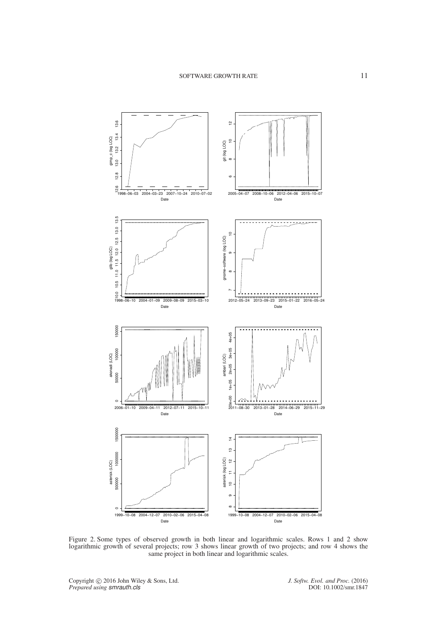<span id="page-10-0"></span>

Figure 2. Some types of observed growth in both linear and logarithmic scales. Rows 1 and 2 show logarithmic growth of several projects; row 3 shows linear growth of two projects; and row 4 shows the same project in both linear and logarithmic scales.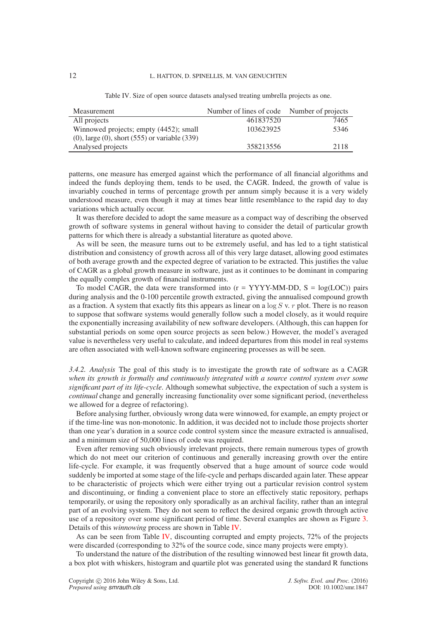<span id="page-11-0"></span>

| Measurement                                             | Number of lines of code Number of projects |      |
|---------------------------------------------------------|--------------------------------------------|------|
| All projects                                            | 461837520                                  | 7465 |
| Winnowed projects; empty (4452); small                  | 103623925                                  | 5346 |
| $(0)$ , large $(0)$ , short $(555)$ or variable $(339)$ |                                            |      |
| Analysed projects                                       | 358213556                                  | 2118 |
|                                                         |                                            |      |

Table IV. Size of open source datasets analysed treating umbrella projects as one.

patterns, one measure has emerged against which the performance of all financial algorithms and indeed the funds deploying them, tends to be used, the CAGR. Indeed, the growth of value is invariably couched in terms of percentage growth per annum simply because it is a very widely understood measure, even though it may at times bear little resemblance to the rapid day to day variations which actually occur.

It was therefore decided to adopt the same measure as a compact way of describing the observed growth of software systems in general without having to consider the detail of particular growth patterns for which there is already a substantial literature as quoted above.

As will be seen, the measure turns out to be extremely useful, and has led to a tight statistical distribution and consistency of growth across all of this very large dataset, allowing good estimates of both average growth and the expected degree of variation to be extracted. This justifies the value of CAGR as a global growth measure in software, just as it continues to be dominant in comparing the equally complex growth of financial instruments.

To model CAGR, the data were transformed into  $(r = YYYY-MM-DD, S = log(LOC))$  pairs during analysis and the 0-100 percentile growth extracted, giving the annualised compound growth as a fraction. A system that exactly fits this appears as linear on a  $\log S$  v. r plot. There is no reason to suppose that software systems would generally follow such a model closely, as it would require the exponentially increasing availability of new software developers. (Although, this can happen for substantial periods on some open source projects as seen below.) However, the model's averaged value is nevertheless very useful to calculate, and indeed departures from this model in real systems are often associated with well-known software engineering processes as will be seen.

*3.4.2. Analysis* The goal of this study is to investigate the growth rate of software as a CAGR *when its growth is formally and continuously integrated with a source control system over some significant part of its life-cycle*. Although somewhat subjective, the expectation of such a system is *continual* change and generally increasing functionality over some significant period, (nevertheless we allowed for a degree of refactoring).

Before analysing further, obviously wrong data were winnowed, for example, an empty project or if the time-line was non-monotonic. In addition, it was decided not to include those projects shorter than one year's duration in a source code control system since the measure extracted is annualised, and a minimum size of 50,000 lines of code was required.

Even after removing such obviously irrelevant projects, there remain numerous types of growth which do not meet our criterion of continuous and generally increasing growth over the entire life-cycle. For example, it was frequently observed that a huge amount of source code would suddenly be imported at some stage of the life-cycle and perhaps discarded again later. These appear to be characteristic of projects which were either trying out a particular revision control system and discontinuing, or finding a convenient place to store an effectively static repository, perhaps temporarily, or using the repository only sporadically as an archival facility, rather than an integral part of an evolving system. They do not seem to reflect the desired organic growth through active use of a repository over some significant period of time. Several examples are shown as Figure [3.](#page-12-0) Details of this *winnowing* process are shown in Table [IV.](#page-11-0)

As can be seen from Table [IV,](#page-11-0) discounting corrupted and empty projects, 72% of the projects were discarded (corresponding to 32% of the source code, since many projects were empty).

To understand the nature of the distribution of the resulting winnowed best linear fit growth data, a box plot with whiskers, histogram and quartile plot was generated using the standard R functions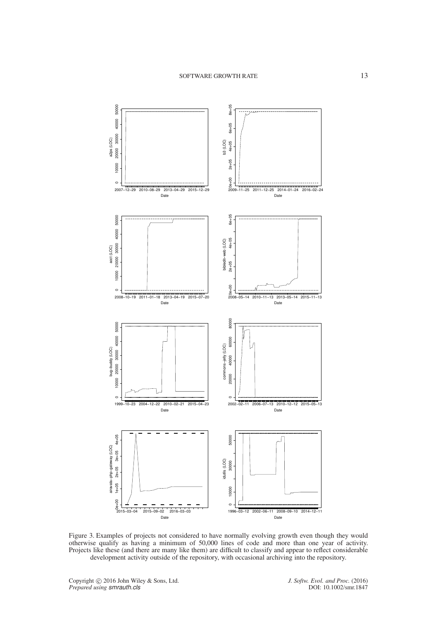<span id="page-12-0"></span>

Figure 3. Examples of projects not considered to have normally evolving growth even though they would otherwise qualify as having a minimum of 50,000 lines of code and more than one year of activity. Projects like these (and there are many like them) are difficult to classify and appear to reflect considerable development activity outside of the repository, with occasional archiving into the repository.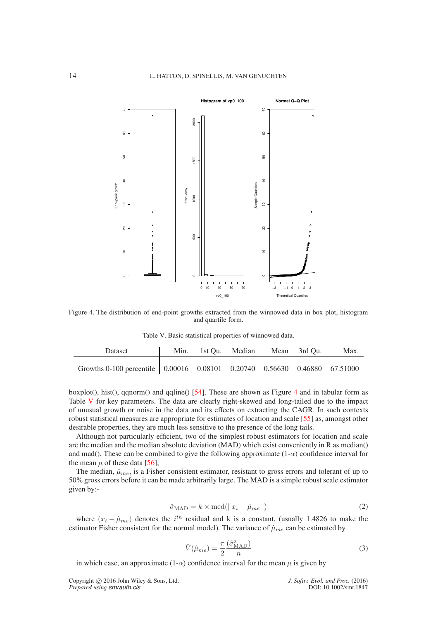<span id="page-13-0"></span>

<span id="page-13-1"></span>Figure 4. The distribution of end-point growths extracted from the winnowed data in box plot, histogram and quartile form.

Table V. Basic statistical properties of winnowed data.

| Dataset                                                                          | Min. 1st Qu. Median Mean 3rd Qu. |  | Max. |
|----------------------------------------------------------------------------------|----------------------------------|--|------|
| Growths 0-100 percentile   0.00016  0.08101  0.20740  0.56630  0.46880  67.51000 |                                  |  |      |

boxplot(), hist(), qqnorm() and qqline()  $[54]$  $[54]$  $[54]$ . These are shown as Figure 4 and in tabular form as Table [V](#page-13-1) for key parameters. The data are clearly right-skewed and long-tailed due to the impact of unusual growth or noise in the data and its effects on extracting the CAGR. In such contexts robust statistical measures are appropriate for estimates of location and scale [\[55\]](#page-21-24) as, amongst other desirable properties, they are much less sensitive to the presence of the long tails.

Although not particularly efficient, two of the simplest robust estimators for location and scale are the median and the median absolute deviation (MAD) which exist conveniently in R as median() and mad(). These can be combined to give the following approximate  $(1-\alpha)$  confidence interval for the mean  $\mu$  of these data [\[56\]](#page-21-25),

The median,  $\hat{\mu}_{me}$ , is a Fisher consistent estimator, resistant to gross errors and tolerant of up to 50% gross errors before it can be made arbitrarily large. The MAD is a simple robust scale estimator given by:-

$$
\hat{\sigma}_{\text{MAD}} = k \times \text{med}(|x_i - \hat{\mu}_{me}|)
$$
\n(2)

where  $(x_i - \hat{\mu}_{me})$  denotes the  $i^{th}$  residual and k is a constant, (usually 1.4826 to make the estimator Fisher consistent for the normal model). The variance of  $\hat{\mu}_{me}$  can be estimated by

$$
\hat{V}(\hat{\mu}_{me}) = \frac{\pi}{2} \frac{(\hat{\sigma}_{\text{MAD}}^2)}{n} \tag{3}
$$

in which case, an approximate (1- $\alpha$ ) confidence interval for the mean  $\mu$  is given by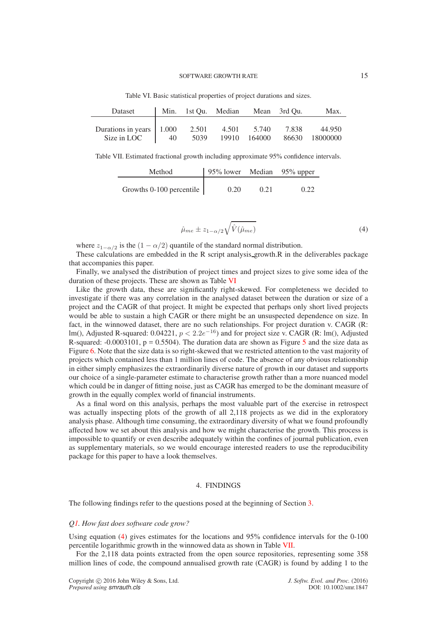<span id="page-14-1"></span>

| Dataset                  |    |       | Min. 1st Qu. Median Mean 3rd Qu. |        |       | Max.     |
|--------------------------|----|-------|----------------------------------|--------|-------|----------|
| Durations in years 1.000 | 40 | 2.501 | 4.501                            | 5.740  | 7.838 | 44.950   |
| Size in LOC              |    | 5039  | 19910                            | 164000 | 86630 | 18000000 |

Table VI. Basic statistical properties of project durations and sizes.

<span id="page-14-3"></span>Table VII. Estimated fractional growth including approximate 95% confidence intervals.

| Method                     | 95% lower Median 95% upper |      |      |
|----------------------------|----------------------------|------|------|
| Growths $0-100$ percentile | 0.20                       | 0.21 | 0.22 |

<span id="page-14-2"></span>
$$
\hat{\mu}_{me} \pm z_{1-\alpha/2} \sqrt{\hat{V}(\hat{\mu}_{me})} \tag{4}
$$

where  $z_{1-\alpha/2}$  is the  $(1-\alpha/2)$  quantile of the standard normal distribution.

These calculations are embedded in the R script analysis growth.R in the deliverables package that accompanies this paper.

Finally, we analysed the distribution of project times and project sizes to give some idea of the duration of these projects. These are shown as Table [VI](#page-14-1)

Like the growth data, these are significantly right-skewed. For completeness we decided to investigate if there was any correlation in the analysed dataset between the duration or size of a project and the CAGR of that project. It might be expected that perhaps only short lived projects would be able to sustain a high CAGR or there might be an unsuspected dependence on size. In fact, in the winnowed dataset, there are no such relationships. For project duration v. CAGR (R: lm(), Adjusted R-squared:  $0.04221$ ,  $p < 2.2e^{-16}$ ) and for project size v. CAGR (R: lm(), Adjusted R-squared:  $-0.0003101$ ,  $p = 0.5504$  $p = 0.5504$  $p = 0.5504$ ). The duration data are shown as Figure 5 and the size data as Figure [6.](#page-15-1) Note that the size data is so right-skewed that we restricted attention to the vast majority of projects which contained less than 1 million lines of code. The absence of any obvious relationship in either simply emphasizes the extraordinarily diverse nature of growth in our dataset and supports our choice of a single-parameter estimate to characterise growth rather than a more nuanced model which could be in danger of fitting noise, just as CAGR has emerged to be the dominant measure of growth in the equally complex world of financial instruments.

As a final word on this analysis, perhaps the most valuable part of the exercise in retrospect was actually inspecting plots of the growth of all 2,118 projects as we did in the exploratory analysis phase. Although time consuming, the extraordinary diversity of what we found profoundly affected how we set about this analysis and how we might characterise the growth. This process is impossible to quantify or even describe adequately within the confines of journal publication, even as supplementary materials, so we would encourage interested readers to use the reproducibility package for this paper to have a look themselves.

#### 4. FINDINGS

<span id="page-14-0"></span>The following findings refer to the questions posed at the beginning of Section [3.](#page-4-0)

### *[Q1.](#page-4-1) How fast does software code grow?*

Using equation [\(4\)](#page-14-2) gives estimates for the locations and 95% confidence intervals for the 0-100 percentile logarithmic growth in the winnowed data as shown in Table [VII.](#page-14-3)

For the 2,118 data points extracted from the open source repositories, representing some 358 million lines of code, the compound annualised growth rate (CAGR) is found by adding 1 to the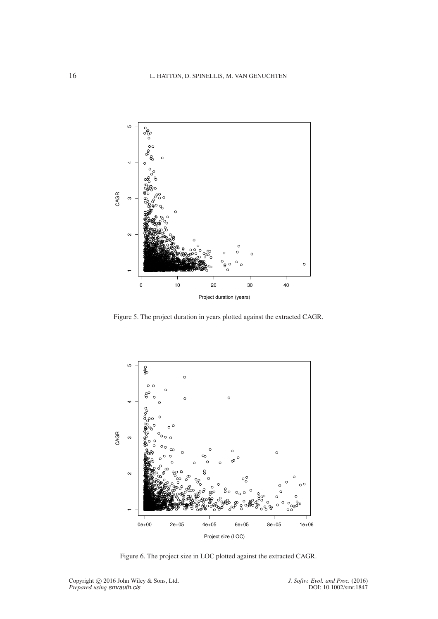<span id="page-15-0"></span>

Figure 5. The project duration in years plotted against the extracted CAGR.

<span id="page-15-1"></span>

Figure 6. The project size in LOC plotted against the extracted CAGR.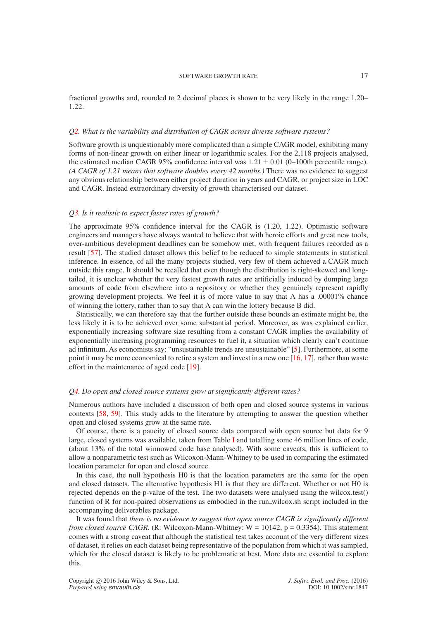fractional growths and, rounded to 2 decimal places is shown to be very likely in the range 1.20– 1.22.

#### *[Q2.](#page-4-2) What is the variability and distribution of CAGR across diverse software systems?*

Software growth is unquestionably more complicated than a simple CAGR model, exhibiting many forms of non-linear growth on either linear or logarithmic scales. For the 2,118 projects analysed, the estimated median CAGR 95% confidence interval was  $1.21 \pm 0.01$  (0–100th percentile range). *(A CAGR of 1.21 means that software doubles every 42 months.)* There was no evidence to suggest any obvious relationship between either project duration in years and CAGR, or project size in LOC and CAGR. Instead extraordinary diversity of growth characterised our dataset.

# *[Q3.](#page-4-3) Is it realistic to expect faster rates of growth?*

The approximate 95% confidence interval for the CAGR is (1.20, 1.22). Optimistic software engineers and managers have always wanted to believe that with heroic efforts and great new tools, over-ambitious development deadlines can be somehow met, with frequent failures recorded as a result [\[57\]](#page-21-26). The studied dataset allows this belief to be reduced to simple statements in statistical inference. In essence, of all the many projects studied, very few of them achieved a CAGR much outside this range. It should be recalled that even though the distribution is right-skewed and longtailed, it is unclear whether the very fastest growth rates are artificially induced by dumping large amounts of code from elsewhere into a repository or whether they genuinely represent rapidly growing development projects. We feel it is of more value to say that A has a .00001% chance of winning the lottery, rather than to say that A can win the lottery because B did.

Statistically, we can therefore say that the further outside these bounds an estimate might be, the less likely it is to be achieved over some substantial period. Moreover, as was explained earlier, exponentially increasing software size resulting from a constant CAGR implies the availability of exponentially increasing programming resources to fuel it, a situation which clearly can't continue ad infinitum. As economists say: "unsustainable trends are unsustainable" [\[5\]](#page-20-4). Furthermore, at some point it may be more economical to retire a system and invest in a new one [\[16,](#page-20-15) [17\]](#page-20-16), rather than waste effort in the maintenance of aged code [\[19\]](#page-20-18).

### *[Q4.](#page-4-4) Do open and closed source systems grow at significantly different rates?*

Numerous authors have included a discussion of both open and closed source systems in various contexts [\[58,](#page-21-27) [59\]](#page-21-28). This study adds to the literature by attempting to answer the question whether open and closed systems grow at the same rate.

Of course, there is a paucity of closed source data compared with open source but data for 9 large, closed systems was available, taken from Table [I](#page-3-0) and totalling some 46 million lines of code, (about 13% of the total winnowed code base analysed). With some caveats, this is sufficient to allow a nonparametric test such as Wilcoxon-Mann-Whitney to be used in comparing the estimated location parameter for open and closed source.

In this case, the null hypothesis H0 is that the location parameters are the same for the open and closed datasets. The alternative hypothesis H1 is that they are different. Whether or not H0 is rejected depends on the p-value of the test. The two datasets were analysed using the wilcox.test() function of R for non-paired observations as embodied in the run wilcox.sh script included in the accompanying deliverables package.

It was found that *there is no evidence to suggest that open source CAGR is significantly different from closed source CAGR.* (R: Wilcoxon-Mann-Whitney:  $W = 10142$ ,  $p = 0.3354$ ). This statement comes with a strong caveat that although the statistical test takes account of the very different sizes of dataset, it relies on each dataset being representative of the population from which it was sampled, which for the closed dataset is likely to be problematic at best. More data are essential to explore this.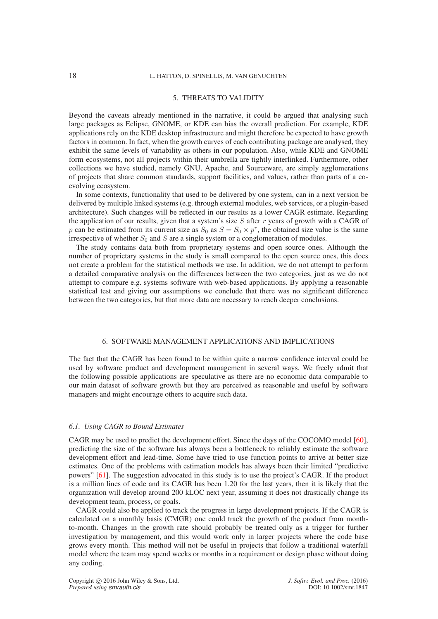# 5. THREATS TO VALIDITY

Beyond the caveats already mentioned in the narrative, it could be argued that analysing such large packages as Eclipse, GNOME, or KDE can bias the overall prediction. For example, KDE applications rely on the KDE desktop infrastructure and might therefore be expected to have growth factors in common. In fact, when the growth curves of each contributing package are analysed, they exhibit the same levels of variability as others in our population. Also, while KDE and GNOME form ecosystems, not all projects within their umbrella are tightly interlinked. Furthermore, other collections we have studied, namely GNU, Apache, and Sourceware, are simply agglomerations of projects that share common standards, support facilities, and values, rather than parts of a coevolving ecosystem.

In some contexts, functionality that used to be delivered by one system, can in a next version be delivered by multiple linked systems (e.g. through external modules, web services, or a plugin-based architecture). Such changes will be reflected in our results as a lower CAGR estimate. Regarding the application of our results, given that a system's size  $S$  after  $r$  years of growth with a CAGR of p can be estimated from its current size as  $S_0$  as  $S = S_0 \times p^r$ , the obtained size value is the same irrespective of whether  $S_0$  and S are a single system or a conglomeration of modules.

The study contains data both from proprietary systems and open source ones. Although the number of proprietary systems in the study is small compared to the open source ones, this does not create a problem for the statistical methods we use. In addition, we do not attempt to perform a detailed comparative analysis on the differences between the two categories, just as we do not attempt to compare e.g. systems software with web-based applications. By applying a reasonable statistical test and giving our assumptions we conclude that there was no significant difference between the two categories, but that more data are necessary to reach deeper conclusions.

# 6. SOFTWARE MANAGEMENT APPLICATIONS AND IMPLICATIONS

<span id="page-17-0"></span>The fact that the CAGR has been found to be within quite a narrow confidence interval could be used by software product and development management in several ways. We freely admit that the following possible applications are speculative as there are no economic data comparable to our main dataset of software growth but they are perceived as reasonable and useful by software managers and might encourage others to acquire such data.

### *6.1. Using CAGR to Bound Estimates*

CAGR may be used to predict the development effort. Since the days of the COCOMO model [\[60\]](#page-21-29), predicting the size of the software has always been a bottleneck to reliably estimate the software development effort and lead-time. Some have tried to use function points to arrive at better size estimates. One of the problems with estimation models has always been their limited "predictive powers" [\[61\]](#page-21-30). The suggestion advocated in this study is to use the project's CAGR. If the product is a million lines of code and its CAGR has been 1.20 for the last years, then it is likely that the organization will develop around 200 kLOC next year, assuming it does not drastically change its development team, process, or goals.

CAGR could also be applied to track the progress in large development projects. If the CAGR is calculated on a monthly basis (CMGR) one could track the growth of the product from monthto-month. Changes in the growth rate should probably be treated only as a trigger for further investigation by management, and this would work only in larger projects where the code base grows every month. This method will not be useful in projects that follow a traditional waterfall model where the team may spend weeks or months in a requirement or design phase without doing any coding.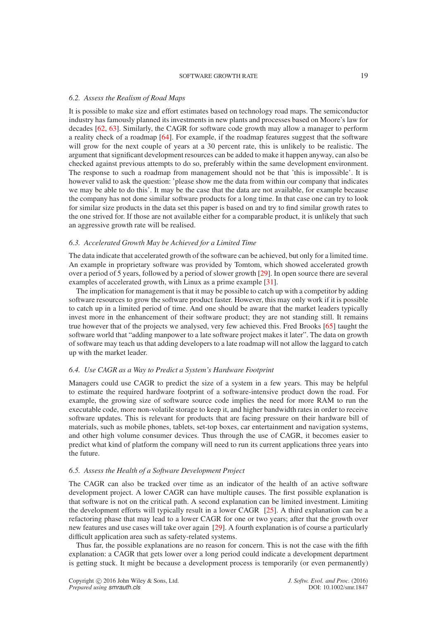#### *6.2. Assess the Realism of Road Maps*

It is possible to make size and effort estimates based on technology road maps. The semiconductor industry has famously planned its investments in new plants and processes based on Moore's law for decades [\[62,](#page-21-31) [63\]](#page-21-32). Similarly, the CAGR for software code growth may allow a manager to perform a reality check of a roadmap [\[64\]](#page-21-33). For example, if the roadmap features suggest that the software will grow for the next couple of years at a 30 percent rate, this is unlikely to be realistic. The argument that significant development resources can be added to make it happen anyway, can also be checked against previous attempts to do so, preferably within the same development environment. The response to such a roadmap from management should not be that 'this is impossible'. It is however valid to ask the question: 'please show me the data from within our company that indicates we may be able to do this'. It may be the case that the data are not available, for example because the company has not done similar software products for a long time. In that case one can try to look for similar size products in the data set this paper is based on and try to find similar growth rates to the one strived for. If those are not available either for a comparable product, it is unlikely that such an aggressive growth rate will be realised.

#### *6.3. Accelerated Growth May be Achieved for a Limited Time*

The data indicate that accelerated growth of the software can be achieved, but only for a limited time. An example in proprietary software was provided by Tomtom, which showed accelerated growth over a period of 5 years, followed by a period of slower growth [\[29\]](#page-20-29). In open source there are several examples of accelerated growth, with Linux as a prime example [\[31\]](#page-21-0).

The implication for management is that it may be possible to catch up with a competitor by adding software resources to grow the software product faster. However, this may only work if it is possible to catch up in a limited period of time. And one should be aware that the market leaders typically invest more in the enhancement of their software product; they are not standing still. It remains true however that of the projects we analysed, very few achieved this. Fred Brooks [\[65\]](#page-21-34) taught the software world that "adding manpower to a late software project makes it later". The data on growth of software may teach us that adding developers to a late roadmap will not allow the laggard to catch up with the market leader.

# *6.4. Use CAGR as a Way to Predict a System's Hardware Footprint*

Managers could use CAGR to predict the size of a system in a few years. This may be helpful to estimate the required hardware footprint of a software-intensive product down the road. For example, the growing size of software source code implies the need for more RAM to run the executable code, more non-volatile storage to keep it, and higher bandwidth rates in order to receive software updates. This is relevant for products that are facing pressure on their hardware bill of materials, such as mobile phones, tablets, set-top boxes, car entertainment and navigation systems, and other high volume consumer devices. Thus through the use of CAGR, it becomes easier to predict what kind of platform the company will need to run its current applications three years into the future.

# *6.5. Assess the Health of a Software Development Project*

The CAGR can also be tracked over time as an indicator of the health of an active software development project. A lower CAGR can have multiple causes. The first possible explanation is that software is not on the critical path. A second explanation can be limited investment. Limiting the development efforts will typically result in a lower CAGR [\[25\]](#page-20-25). A third explanation can be a refactoring phase that may lead to a lower CAGR for one or two years; after that the growth over new features and use cases will take over again [\[29\]](#page-20-29). A fourth explanation is of course a particularly difficult application area such as safety-related systems.

Thus far, the possible explanations are no reason for concern. This is not the case with the fifth explanation: a CAGR that gets lower over a long period could indicate a development department is getting stuck. It might be because a development process is temporarily (or even permanently)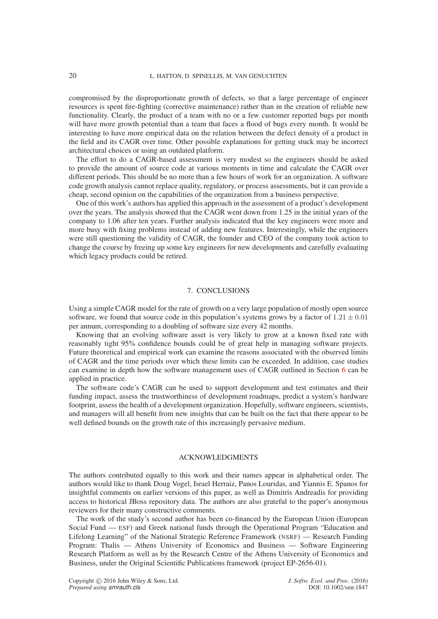compromised by the disproportionate growth of defects, so that a large percentage of engineer resources is spent fire-fighting (corrective maintenance) rather than in the creation of reliable new functionality. Clearly, the product of a team with no or a few customer reported bugs per month will have more growth potential than a team that faces a flood of bugs every month. It would be interesting to have more empirical data on the relation between the defect density of a product in the field and its CAGR over time. Other possible explanations for getting stuck may be incorrect architectural choices or using an outdated platform.

The effort to do a CAGR-based assessment is very modest so the engineers should be asked to provide the amount of source code at various moments in time and calculate the CAGR over different periods. This should be no more than a few hours of work for an organization. A software code growth analysis cannot replace quality, regulatory, or process assessments, but it can provide a cheap, second opinion on the capabilities of the organization from a business perspective.

One of this work's authors has applied this approach in the assessment of a product's development over the years. The analysis showed that the CAGR went down from 1.25 in the initial years of the company to 1.06 after ten years. Further analysis indicated that the key engineers were more and more busy with fixing problems instead of adding new features. Interestingly, while the engineers were still questioning the validity of CAGR, the founder and CEO of the company took action to change the course by freeing up some key engineers for new developments and carefully evaluating which legacy products could be retired.

### 7. CONCLUSIONS

Using a simple CAGR model for the rate of growth on a very large population of mostly open source software, we found that source code in this population's systems grows by a factor of  $1.21 \pm 0.01$ per annum, corresponding to a doubling of software size every 42 months.

Knowing that an evolving software asset is very likely to grow at a known fixed rate with reasonably tight 95% confidence bounds could be of great help in managing software projects. Future theoretical and empirical work can examine the reasons associated with the observed limits of CAGR and the time periods over which these limits can be exceeded. In addition, case studies can examine in depth how the software management uses of CAGR outlined in Section [6](#page-17-0) can be applied in practice.

The software code's CAGR can be used to support development and test estimates and their funding impact, assess the trustworthiness of development roadmaps, predict a system's hardware footprint, assess the health of a development organization. Hopefully, software engineers, scientists, and managers will all benefit from new insights that can be built on the fact that there appear to be well defined bounds on the growth rate of this increasingly pervasive medium.

# ACKNOWLEDGMENTS

The authors contributed equally to this work and their names appear in alphabetical order. The authors would like to thank Doug Vogel, Israel Herraiz, Panos Louridas, and Yiannis E. Spanos for insightful comments on earlier versions of this paper, as well as Dimitris Andreadis for providing access to historical JBoss repository data. The authors are also grateful to the paper's anonymous reviewers for their many constructive comments.

The work of the study's second author has been co-financed by the European Union (European Social Fund — ESF) and Greek national funds through the Operational Program "Education and Lifelong Learning" of the National Strategic Reference Framework (NSRF) — Research Funding Program: Thalis — Athens University of Economics and Business — Software Engineering Research Platform as well as by the Research Centre of the Athens University of Economics and Business, under the Original Scientific Publications framework (project EP-2656-01).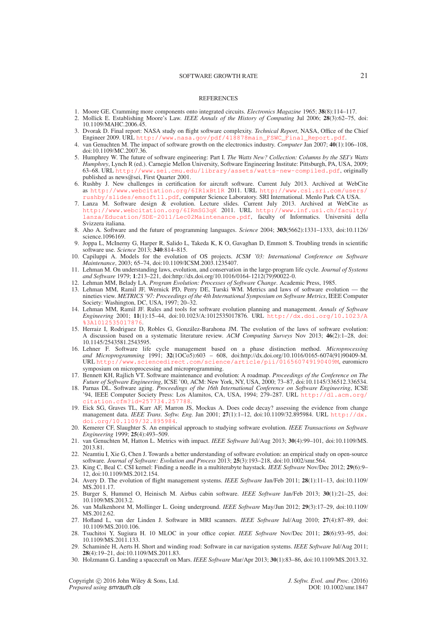#### **REFERENCES**

- <span id="page-20-1"></span><span id="page-20-0"></span>1. Moore GE. Cramming more components onto integrated circuits. *Electronics Magazine* 1965; **38**(8):114–117.
- 2. Mollick E. Establishing Moore's Law. *IEEE Annals of the History of Computing* Jul 2006; **28**(3):62–75, doi: 10.1109/MAHC.2006.45.
- <span id="page-20-2"></span>3. Dvorak D. Final report: NASA study on flight software complexity. *Technical Report*, NASA, Office of the Chief Engineer 2009. URL [http://www.nasa.gov/pdf/418878main\\_FSWC\\_Final\\_Report.pdf](http://www.nasa.gov/pdf/418878main_FSWC_Final_Report.pdf).
- <span id="page-20-3"></span>4. van Genuchten M. The impact of software growth on the electronics industry. *Computer* Jan 2007; **40**(1):106–108, doi:10.1109/MC.2007.36.
- <span id="page-20-4"></span>5. Humphrey W. The future of software engineering: Part I. *The Watts New? Collection: Columns by the SEI's Watts Humphrey*, Lynch R (ed.). Carnegie Mellon University, Software Engineering Institute: Pittsburgh, PA, USA, 2009; 63–68. URL <http://www.sei.cmu.edu/library/assets/watts-new-compiled.pdf>, originally published as news@sei, First Quarter 2001.
- <span id="page-20-5"></span>6. Rushby J. New challenges in certification for aircraft software. Current July 2013. Archived at WebCite as <http://www.webcitation.org/6IRlxBt1R> 2011. URL [http://www.csl.sri.com/users/](http://www.csl.sri.com/users/rushby/slides/emsoft11.pdf) [rushby/slides/emsoft11.pdf](http://www.csl.sri.com/users/rushby/slides/emsoft11.pdf), computer Science Laboratory. SRI International. Menlo Park CA USA.
- <span id="page-20-6"></span>7. Lanza M. Software design & evolution. Lecture slides. Current July 2013. Archived at WebCite as <http://www.webcitation.org/6IRmSG3qK> 2011. URL [http://www.inf.usi.ch/faculty/](http://www.inf.usi.ch/faculty/lanza/Education/SDE-2011/Lec02Maintenance.pdf) [lanza/Education/SDE-2011/Lec02Maintenance.pdf](http://www.inf.usi.ch/faculty/lanza/Education/SDE-2011/Lec02Maintenance.pdf), faculty of Informatics. Universit´a della Svizzera italiana.
- <span id="page-20-7"></span>8. Aho A. Software and the future of programming languages. *Science* 2004; **303**(5662):1331–1333, doi:10.1126/ science.1096169.
- <span id="page-20-8"></span>9. Joppa L, McInerny G, Harper R, Salido L, Takeda K, K O, Gavaghan D, Emmott S. Troubling trends in scientific software use. *Science* 2013; **340**:814–815.
- <span id="page-20-9"></span>10. Capiluppi A. Models for the evolution of OS projects. *ICSM '03: International Conference on Software Maintenance*, 2003; 65–74, doi:10.1109/ICSM.2003.1235407.
- <span id="page-20-10"></span>11. Lehman M. On understanding laws, evolution, and conservation in the large-program life cycle. *Journal of Systems and Software* 1979; **1**:213–221, doi:http://dx.doi.org/10.1016/0164-1212(79)90022-0.
- <span id="page-20-12"></span><span id="page-20-11"></span>12. Lehman MM, Belady LA. *Program Evolution: Processes of Software Change*. Academic Press, 1985.
- 13. Lehman MM, Ramil JF, Wernick PD, Perry DE, Turski WM. Metrics and laws of software evolution the nineties view. *METRICS '97: Proceedings of the 4th International Symposium on Software Metrics*, IEEE Computer Society: Washington, DC, USA, 1997; 20–32.
- <span id="page-20-13"></span>14. Lehman MM, Ramil JF. Rules and tools for software evolution planning and management. *Annals of Software Engineering* 2001; **11**(1):15–44, doi:10.1023/A:1012535017876. URL [http://dx.doi.org/10.1023/A](http://dx.doi.org/10.1023/A%3A1012535017876) [%3A1012535017876](http://dx.doi.org/10.1023/A%3A1012535017876).
- <span id="page-20-14"></span>15. Herraiz I, Rodriguez D, Robles G, González-Barahona JM. The evolution of the laws of software evolution: A discussion based on a systematic literature review. *ACM Computing Surveys* Nov 2013; **46**(2):1–28, doi: 10.1145/2543581.2543595.
- <span id="page-20-15"></span>16. Lehner F. Software life cycle management based on a phase distinction method. *Microprocessing and Microprogramming* 1991; **32**(1OCo5):603 – 608, doi:http://dx.doi.org/10.1016/0165-6074(91)90409-M. URL <http://www.sciencedirect.com/science/article/pii/016560749190409M>, euromicro symposium on microprocessing and microprogramming.
- <span id="page-20-16"></span>17. Bennett KH, Rajlich VT. Software maintenance and evolution: A roadmap. *Proceedings of the Conference on The Future of Software Engineering*, ICSE '00, ACM: New York, NY, USA, 2000; 73–87, doi:10.1145/336512.336534.
- <span id="page-20-17"></span>18. Parnas DL. Software aging. *Proceedings of the 16th International Conference on Software Engineering*, ICSE '94, IEEE Computer Society Press: Los Alamitos, CA, USA, 1994; 279–287. URL [http://dl.acm.org/](http://dl.acm.org/citation.cfm?id=257734.257788) itation.cfm?id=257734.257788
- <span id="page-20-18"></span>19. Eick SG, Graves TL, Karr AF, Marron JS, Mockus A. Does code decay? assessing the evidence from change management data. *IEEE Trans. Softw. Eng.* Jan 2001; **27**(1):1–12, doi:10.1109/32.895984. URL [http://dx.](http://dx.doi.org/10.1109/32.895984) [doi.org/10.1109/32.895984](http://dx.doi.org/10.1109/32.895984).
- <span id="page-20-19"></span>20. Kemerer CF, Slaughter S. An empirical approach to studying software evolution. *IEEE Transactions on Software Engineering* 1999; **25**(4):493–509.
- <span id="page-20-20"></span>21. van Genuchten M, Hatton L. Metrics with impact. *IEEE Software* Jul/Aug 2013; **30**(4):99–101, doi:10.1109/MS. 2013.81.
- <span id="page-20-22"></span>22. Neamtiu I, Xie G, Chen J. Towards a better understanding of software evolution: an empirical study on open-source software. *Journal of Software: Evolution and Process* 2013; **25**(3):193–218, doi:10.1002/smr.564.
- <span id="page-20-23"></span>23. King C, Beal C. CSI kernel: Finding a needle in a multiterabyte haystack. *IEEE Software* Nov/Dec 2012; **29**(6):9– 12, doi:10.1109/MS.2012.154.
- <span id="page-20-24"></span>24. Avery D. The evolution of flight management systems. *IEEE Software* Jan/Feb 2011; **28**(1):11–13, doi:10.1109/ MS.2011.17.
- <span id="page-20-25"></span>25. Burger S, Hummel O, Heinisch M. Airbus cabin software. *IEEE Software* Jan/Feb 2013; **30**(1):21–25, doi: 10.1109/MS.2013.2.
- <span id="page-20-26"></span>26. van Malkenhorst M, Mollinger L. Going underground. *IEEE Software* May/Jun 2012; **29**(3):17–29, doi:10.1109/ MS.2012.62.
- <span id="page-20-27"></span>27. Hofland L, van der Linden J. Software in MRI scanners. *IEEE Software* Jul/Aug 2010; **27**(4):87–89, doi: 10.1109/MS.2010.106.
- <span id="page-20-28"></span>28. Tsuchitoi Y, Sugiura H. 10 MLOC in your office copier. *IEEE Software* Nov/Dec 2011; **28**(6):93–95, doi: 10.1109/MS.2011.133.
- <span id="page-20-29"></span>29. Schamin´ee H, Aerts H. Short and winding road: Software in car navigation systems. *IEEE Software* Jul/Aug 2011; **28**(4):19–21, doi:10.1109/MS.2011.83.
- <span id="page-20-21"></span>30. Holzmann G. Landing a spacecraft on Mars. *IEEE Software* Mar/Apr 2013; **30**(1):83–86, doi:10.1109/MS.2013.32.